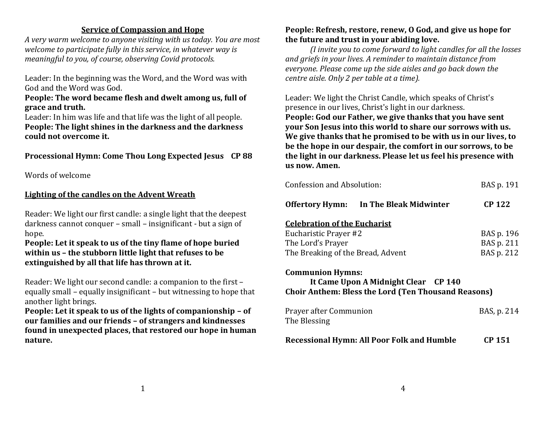#### **Service of Compassion and Hope**

*A very warm welcome to anyone visiting with us today. You are most welcome to participate fully in this service, in whatever way is meaningful to you, of course, observing Covid protocols.*

Leader: In the beginning was the Word, and the Word was with God and the Word was God.

#### **People: The word became flesh and dwelt among us, full of grace and truth.**

Leader: In him was life and that life was the light of all people. **People: The light shines in the darkness and the darkness could not overcome it.**

# **Processional Hymn: Come Thou Long Expected Jesus CP 88**

Words of welcome

# **Lighting of the candles on the Advent Wreath**

Reader: We light our first candle: a single light that the deepest darkness cannot conquer – small – insignificant - but a sign of hope.

# **People: Let it speak to us of the tiny flame of hope buried within us – the stubborn little light that refuses to be extinguished by all that life has thrown at it.**

Reader: We light our second candle: a companion to the first – equally small – equally insignificant – but witnessing to hope that another light brings.

**People: Let it speak to us of the lights of companionship – of our families and our friends – of strangers and kindnesses found in unexpected places, that restored our hope in human nature.**

# **People: Refresh, restore, renew, O God, and give us hope for the future and trust in your abiding love.**

*(I invite you to come forward to light candles for all the losses and griefs in your lives. A reminder to maintain distance from everyone. Please come up the side aisles and go back down the centre aisle. Only 2 per table at a time).*

Leader: We light the Christ Candle, which speaks of Christ's presence in our lives, Christ's light in our darkness. **People: God our Father, we give thanks that you have sent your Son Jesus into this world to share our sorrows with us. We give thanks that he promised to be with us in our lives, to be the hope in our despair, the comfort in our sorrows, to be the light in our darkness. Please let us feel his presence with us now. Amen.**

| Confession and Absolution:                                                                                                    | BAS p. 191    |
|-------------------------------------------------------------------------------------------------------------------------------|---------------|
| <b>Offertory Hymn:</b> In The Bleak Midwinter                                                                                 | <b>CP 122</b> |
| <b>Celebration of the Eucharist</b>                                                                                           |               |
| Eucharistic Prayer #2                                                                                                         | BAS p. 196    |
| The Lord's Prayer                                                                                                             | BAS p. 211    |
| The Breaking of the Bread, Advent                                                                                             | BAS p. 212    |
| <b>Communion Hymns:</b><br>It Came Upon A Midnight Clear CP 140<br><b>Choir Anthem: Bless the Lord (Ten Thousand Reasons)</b> |               |
| Prayer after Communion<br>The Blessing                                                                                        | BAS, p. 214   |
| <b>Recessional Hymn: All Poor Folk and Humble</b>                                                                             | CP 151        |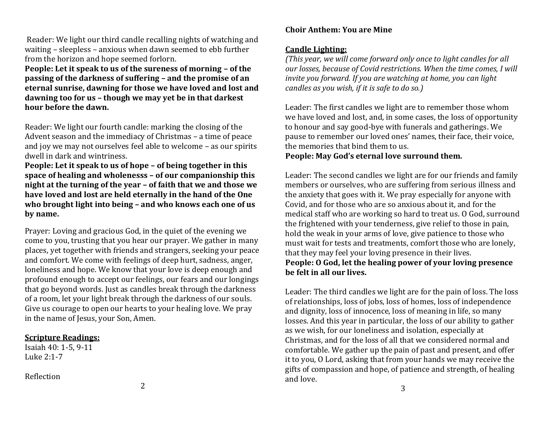Reader: We light our third candle recalling nights of watching and waiting – sleepless – anxious when dawn seemed to ebb further from the horizon and hope seemed forlorn.

**People: Let it speak to us of the sureness of morning – of the passing of the darkness of suffering – and the promise of an eternal sunrise, dawning for those we have loved and lost and dawning too for us – though we may yet be in that darkest hour before the dawn.**

Reader: We light our fourth candle: marking the closing of the Advent season and the immediacy of Christmas – a time of peace and joy we may not ourselves feel able to welcome – as our spirits dwell in dark and wintriness.

**People: Let it speak to us of hope – of being together in this space of healing and wholenesss – of our companionship this night at the turning of the year – of faith that we and those we have loved and lost are held eternally in the hand of the One who brought light into being – and who knows each one of us by name.**

Prayer: Loving and gracious God, in the quiet of the evening we come to you, trusting that you hear our prayer. We gather in many places, yet together with friends and strangers, seeking your peace and comfort. We come with feelings of deep hurt, sadness, anger, loneliness and hope. We know that your love is deep enough and profound enough to accept our feelings, our fears and our longings that go beyond words. Just as candles break through the darkness of a room, let your light break through the darkness of our souls. Give us courage to open our hearts to your healing love. We pray in the name of Jesus, your Son, Amen.

### **Scripture Readings:**

Isaiah 40: 1-5, 9-11 Luke 2:1-7

# Reflection

### **Choir Anthem: You are Mine**

### **Candle Lighting:**

*(This year, we will come forward only once to light candles for all our losses, because of Covid restrictions. When the time comes, I will invite you forward. If you are watching at home, you can light candles as you wish, if it is safe to do so.)* 

Leader: The first candles we light are to remember those whom we have loved and lost, and, in some cases, the loss of opportunity to honour and say good-bye with funerals and gatherings. We pause to remember our loved ones' names, their face, their voice, the memories that bind them to us.

# **People: May God's eternal love surround them.**

Leader: The second candles we light are for our friends and family members or ourselves, who are suffering from serious illness and the anxiety that goes with it. We pray especially for anyone with Covid, and for those who are so anxious about it, and for the medical staff who are working so hard to treat us. O God, surround the frightened with your tenderness, give relief to those in pain, hold the weak in your arms of love, give patience to those who must wait for tests and treatments, comfort those who are lonely, that they may feel your loving presence in their lives. **People: O God, let the healing power of your loving presence be felt in all our lives.** 

Leader: The third candles we light are for the pain of loss. The loss of relationships, loss of jobs, loss of homes, loss of independence and dignity, loss of innocence, loss of meaning in life, so many losses. And this year in particular, the loss of our ability to gather as we wish, for our loneliness and isolation, especially at Christmas, and for the loss of all that we considered normal and comfortable. We gather up the pain of past and present, and offer it to you, O Lord, asking that from your hands we may receive the gifts of compassion and hope, of patience and strength, of healing and love.